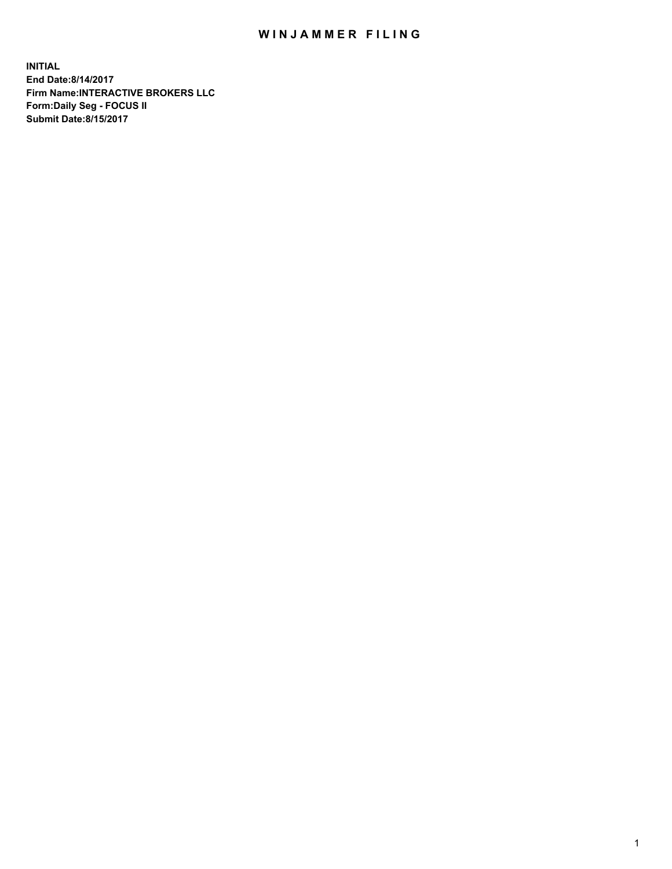## WIN JAMMER FILING

**INITIAL End Date:8/14/2017 Firm Name:INTERACTIVE BROKERS LLC Form:Daily Seg - FOCUS II Submit Date:8/15/2017**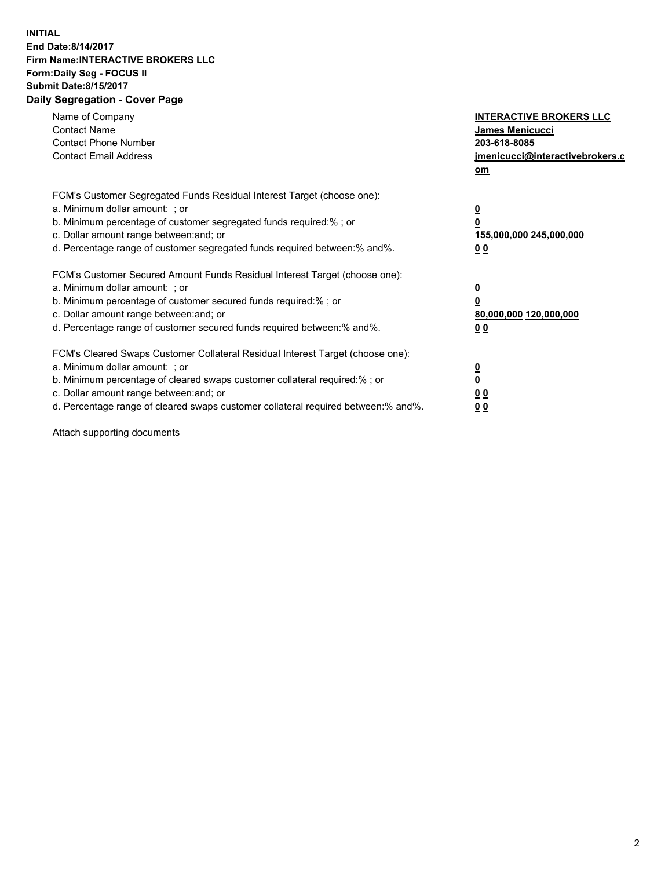## **INITIAL End Date:8/14/2017 Firm Name:INTERACTIVE BROKERS LLC Form:Daily Seg - FOCUS II Submit Date:8/15/2017 Daily Segregation - Cover Page**

| Name of Company<br><b>Contact Name</b><br><b>Contact Phone Number</b><br><b>Contact Email Address</b>                                                                                                                                                                                                                          | <b>INTERACTIVE BROKERS LLC</b><br>James Menicucci<br>203-618-8085<br>jmenicucci@interactivebrokers.c<br>om |
|--------------------------------------------------------------------------------------------------------------------------------------------------------------------------------------------------------------------------------------------------------------------------------------------------------------------------------|------------------------------------------------------------------------------------------------------------|
| FCM's Customer Segregated Funds Residual Interest Target (choose one):<br>a. Minimum dollar amount: ; or<br>b. Minimum percentage of customer segregated funds required:%; or<br>c. Dollar amount range between: and; or<br>d. Percentage range of customer segregated funds required between:% and%.                          | $\overline{\mathbf{0}}$<br>0<br>155,000,000 245,000,000<br>0 <sub>0</sub>                                  |
| FCM's Customer Secured Amount Funds Residual Interest Target (choose one):<br>a. Minimum dollar amount: ; or<br>b. Minimum percentage of customer secured funds required:%; or<br>c. Dollar amount range between: and; or<br>d. Percentage range of customer secured funds required between:% and%.                            | $\overline{\mathbf{0}}$<br>$\overline{\mathbf{0}}$<br>80,000,000 120,000,000<br>00                         |
| FCM's Cleared Swaps Customer Collateral Residual Interest Target (choose one):<br>a. Minimum dollar amount: ; or<br>b. Minimum percentage of cleared swaps customer collateral required:% ; or<br>c. Dollar amount range between: and; or<br>d. Percentage range of cleared swaps customer collateral required between:% and%. | $\overline{\mathbf{0}}$<br>$\overline{\mathbf{0}}$<br>0 <sub>0</sub><br><u>00</u>                          |

Attach supporting documents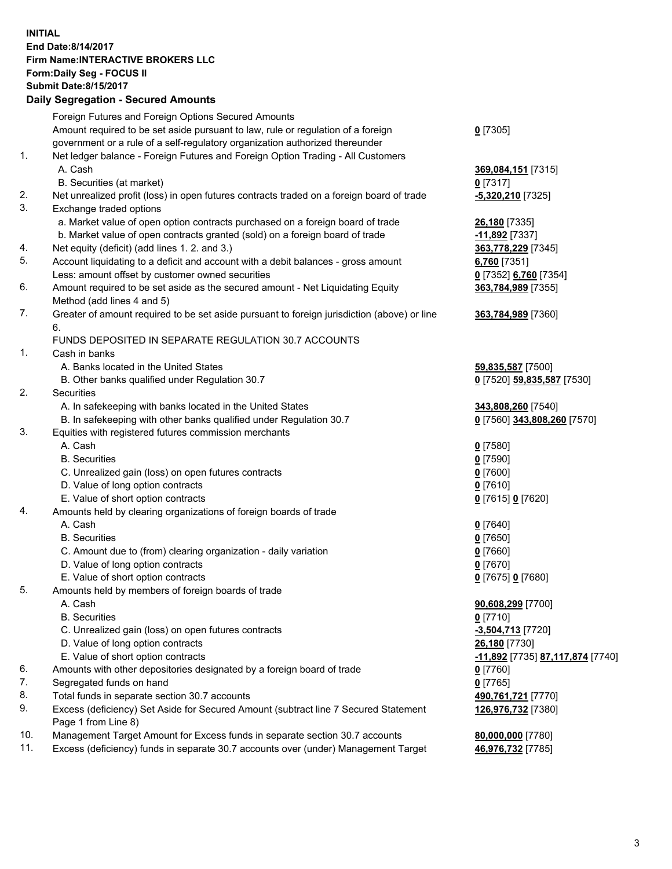## **INITIAL End Date:8/14/2017 Firm Name:INTERACTIVE BROKERS LLC Form:Daily Seg - FOCUS II Submit Date:8/15/2017 Daily Segregation - Secured Amounts**

|     | Dany Oogrogaach - Ocearea Amounta                                                                          |                                  |
|-----|------------------------------------------------------------------------------------------------------------|----------------------------------|
|     | Foreign Futures and Foreign Options Secured Amounts                                                        |                                  |
|     | Amount required to be set aside pursuant to law, rule or regulation of a foreign                           | $0$ [7305]                       |
|     | government or a rule of a self-regulatory organization authorized thereunder                               |                                  |
| 1.  | Net ledger balance - Foreign Futures and Foreign Option Trading - All Customers                            |                                  |
|     | A. Cash                                                                                                    | 369,084,151 [7315]               |
|     | B. Securities (at market)                                                                                  | $0$ [7317]                       |
| 2.  | Net unrealized profit (loss) in open futures contracts traded on a foreign board of trade                  | $-5,320,210$ [7325]              |
| 3.  | Exchange traded options                                                                                    |                                  |
|     | a. Market value of open option contracts purchased on a foreign board of trade                             | 26,180 [7335]                    |
|     | b. Market value of open contracts granted (sold) on a foreign board of trade                               | $-11,892$ [7337]                 |
| 4.  | Net equity (deficit) (add lines 1.2. and 3.)                                                               | 363,778,229 [7345]               |
| 5.  | Account liquidating to a deficit and account with a debit balances - gross amount                          | 6,760 [7351]                     |
|     | Less: amount offset by customer owned securities                                                           | 0 [7352] 6,760 [7354]            |
| 6.  | Amount required to be set aside as the secured amount - Net Liquidating Equity                             | 363,784,989 [7355]               |
|     | Method (add lines 4 and 5)                                                                                 |                                  |
| 7.  | Greater of amount required to be set aside pursuant to foreign jurisdiction (above) or line                | 363,784,989 [7360]               |
|     | 6.                                                                                                         |                                  |
|     | FUNDS DEPOSITED IN SEPARATE REGULATION 30.7 ACCOUNTS                                                       |                                  |
| 1.  | Cash in banks                                                                                              |                                  |
|     | A. Banks located in the United States                                                                      | 59,835,587 [7500]                |
|     | B. Other banks qualified under Regulation 30.7                                                             | 0 [7520] 59,835,587 [7530]       |
| 2.  | Securities                                                                                                 |                                  |
|     | A. In safekeeping with banks located in the United States                                                  | 343,808,260 [7540]               |
|     | B. In safekeeping with other banks qualified under Regulation 30.7                                         | 0 [7560] 343,808,260 [7570]      |
| 3.  | Equities with registered futures commission merchants                                                      |                                  |
|     | A. Cash                                                                                                    | $0$ [7580]                       |
|     | <b>B.</b> Securities                                                                                       | $0$ [7590]                       |
|     | C. Unrealized gain (loss) on open futures contracts                                                        | $0$ [7600]                       |
|     | D. Value of long option contracts                                                                          | $0$ [7610]                       |
|     | E. Value of short option contracts                                                                         | 0 [7615] 0 [7620]                |
| 4.  | Amounts held by clearing organizations of foreign boards of trade                                          |                                  |
|     | A. Cash                                                                                                    | $0$ [7640]                       |
|     | <b>B.</b> Securities                                                                                       | $0$ [7650]                       |
|     | C. Amount due to (from) clearing organization - daily variation                                            | $0$ [7660]                       |
|     | D. Value of long option contracts                                                                          | $0$ [7670]                       |
|     | E. Value of short option contracts                                                                         | 0 [7675] 0 [7680]                |
| 5.  | Amounts held by members of foreign boards of trade                                                         |                                  |
|     | A. Cash                                                                                                    | 90,608,299 [7700]                |
|     | <b>B.</b> Securities                                                                                       | $0$ [7710]                       |
|     | C. Unrealized gain (loss) on open futures contracts                                                        | $-3,504,713$ [7720]              |
|     | D. Value of long option contracts                                                                          | 26,180 [7730]                    |
|     | E. Value of short option contracts                                                                         | -11,892 [7735] 87,117,874 [7740] |
| 6.  | Amounts with other depositories designated by a foreign board of trade                                     | $0$ [7760]                       |
| 7.  | Segregated funds on hand                                                                                   | $0$ [7765]                       |
| 8.  | Total funds in separate section 30.7 accounts                                                              | 490,761,721 [7770]               |
| 9.  | Excess (deficiency) Set Aside for Secured Amount (subtract line 7 Secured Statement<br>Page 1 from Line 8) | 126,976,732 [7380]               |
| 10. | Management Target Amount for Excess funds in separate section 30.7 accounts                                | 80,000,000 [7780]                |
| 11. | Excess (deficiency) funds in separate 30.7 accounts over (under) Management Target                         | 46,976,732 [7785]                |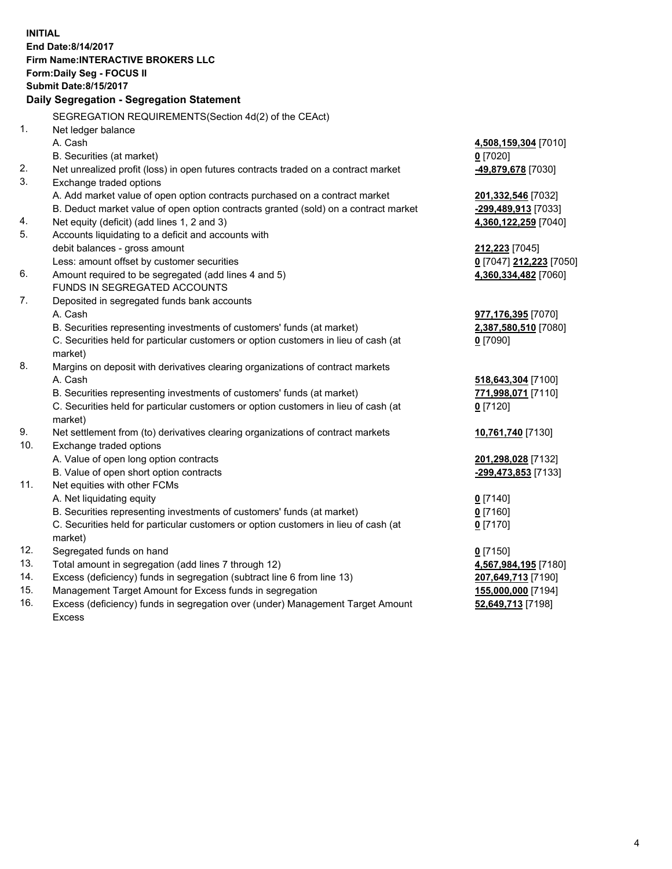**INITIAL End Date:8/14/2017 Firm Name:INTERACTIVE BROKERS LLC Form:Daily Seg - FOCUS II Submit Date:8/15/2017 Daily Segregation - Segregation Statement** SEGREGATION REQUIREMENTS(Section 4d(2) of the CEAct) 1. Net ledger balance A. Cash **4,508,159,304** [7010] B. Securities (at market) **0** [7020] 2. Net unrealized profit (loss) in open futures contracts traded on a contract market **-49,879,678** [7030] 3. Exchange traded options A. Add market value of open option contracts purchased on a contract market **201,332,546** [7032] B. Deduct market value of open option contracts granted (sold) on a contract market **-299,489,913** [7033] 4. Net equity (deficit) (add lines 1, 2 and 3) **4,360,122,259** [7040] 5. Accounts liquidating to a deficit and accounts with debit balances - gross amount **212,223** [7045] Less: amount offset by customer securities **0** [7047] **212,223** [7050] 6. Amount required to be segregated (add lines 4 and 5) **4,360,334,482** [7060] FUNDS IN SEGREGATED ACCOUNTS 7. Deposited in segregated funds bank accounts A. Cash **977,176,395** [7070] B. Securities representing investments of customers' funds (at market) **2,387,580,510** [7080] C. Securities held for particular customers or option customers in lieu of cash (at market) **0** [7090] 8. Margins on deposit with derivatives clearing organizations of contract markets A. Cash **518,643,304** [7100] B. Securities representing investments of customers' funds (at market) **771,998,071** [7110] C. Securities held for particular customers or option customers in lieu of cash (at market) **0** [7120] 9. Net settlement from (to) derivatives clearing organizations of contract markets **10,761,740** [7130] 10. Exchange traded options A. Value of open long option contracts **201,298,028** [7132] B. Value of open short option contracts **-299,473,853** [7133] 11. Net equities with other FCMs A. Net liquidating equity **0** [7140] B. Securities representing investments of customers' funds (at market) **0** [7160] C. Securities held for particular customers or option customers in lieu of cash (at market) **0** [7170] 12. Segregated funds on hand **0** [7150] 13. Total amount in segregation (add lines 7 through 12) **4,567,984,195** [7180] 14. Excess (deficiency) funds in segregation (subtract line 6 from line 13) **207,649,713** [7190] 15. Management Target Amount for Excess funds in segregation **155,000,000** [7194] **52,649,713** [7198]

16. Excess (deficiency) funds in segregation over (under) Management Target Amount Excess